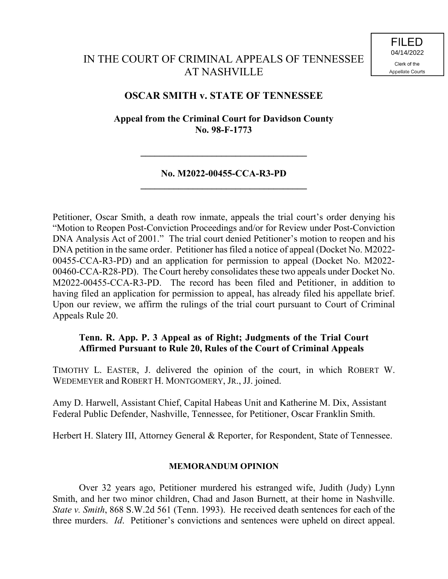# IN THE COURT OF CRIMINAL APPEALS OF TENNESSEE AT NASHVILLE

## **OSCAR SMITH v. STATE OF TENNESSEE**

**Appeal from the Criminal Court for Davidson County No. 98-F-1773**

### **No. M2022-00455-CCA-R3-PD \_\_\_\_\_\_\_\_\_\_\_\_\_\_\_\_\_\_\_\_\_\_\_\_\_\_\_\_\_\_\_\_\_\_\_**

**\_\_\_\_\_\_\_\_\_\_\_\_\_\_\_\_\_\_\_\_\_\_\_\_\_\_\_\_\_\_\_\_\_\_\_**

Petitioner, Oscar Smith, a death row inmate, appeals the trial court's order denying his "Motion to Reopen Post-Conviction Proceedings and/or for Review under Post-Conviction DNA Analysis Act of 2001." The trial court denied Petitioner's motion to reopen and his DNA petition in the same order. Petitioner has filed a notice of appeal (Docket No. M2022- 00455-CCA-R3-PD) and an application for permission to appeal (Docket No. M2022- 00460-CCA-R28-PD). The Court hereby consolidates these two appeals under Docket No. M2022-00455-CCA-R3-PD. The record has been filed and Petitioner, in addition to having filed an application for permission to appeal, has already filed his appellate brief. Upon our review, we affirm the rulings of the trial court pursuant to Court of Criminal Appeals Rule 20.

### **Tenn. R. App. P. 3 Appeal as of Right; Judgments of the Trial Court Affirmed Pursuant to Rule 20, Rules of the Court of Criminal Appeals**

TIMOTHY L. EASTER, J. delivered the opinion of the court, in which ROBERT W. WEDEMEYER and ROBERT H. MONTGOMERY, JR., JJ. joined.

Amy D. Harwell, Assistant Chief, Capital Habeas Unit and Katherine M. Dix, Assistant Federal Public Defender, Nashville, Tennessee, for Petitioner, Oscar Franklin Smith.

Herbert H. Slatery III, Attorney General & Reporter, for Respondent, State of Tennessee.

#### **MEMORANDUM OPINION**

Over 32 years ago, Petitioner murdered his estranged wife, Judith (Judy) Lynn Smith, and her two minor children, Chad and Jason Burnett, at their home in Nashville. *State v. Smith*, 868 S.W.2d 561 (Tenn. 1993). He received death sentences for each of the three murders. *Id*. Petitioner's convictions and sentences were upheld on direct appeal.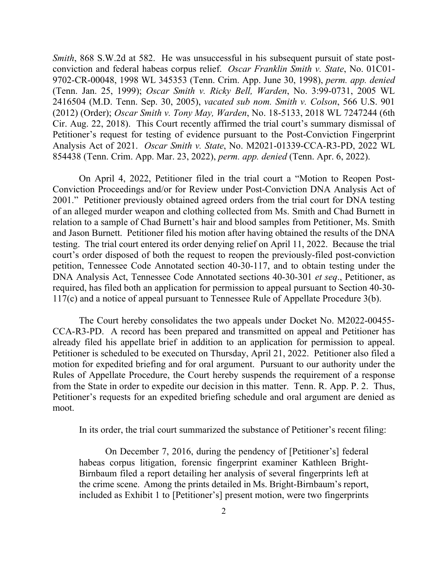*Smith*, 868 S.W.2d at 582. He was unsuccessful in his subsequent pursuit of state postconviction and federal habeas corpus relief. *Oscar Franklin Smith v. State*, No. 01C01- 9702-CR-00048, 1998 WL 345353 (Tenn. Crim. App. June 30, 1998), *perm. app. denied* (Tenn. Jan. 25, 1999); *Oscar Smith v. Ricky Bell, Warden*, No. 3:99-0731, 2005 WL 2416504 (M.D. Tenn. Sep. 30, 2005), *vacated sub nom. Smith v. Colson*, 566 U.S. 901 (2012) (Order); *Oscar Smith v. Tony May, Warden*, No. 18-5133, 2018 WL 7247244 (6th Cir. Aug. 22, 2018). This Court recently affirmed the trial court's summary dismissal of Petitioner's request for testing of evidence pursuant to the Post-Conviction Fingerprint Analysis Act of 2021. *Oscar Smith v. State*, No. M2021-01339-CCA-R3-PD, 2022 WL 854438 (Tenn. Crim. App. Mar. 23, 2022), *perm. app. denied* (Tenn. Apr. 6, 2022).

On April 4, 2022, Petitioner filed in the trial court a "Motion to Reopen Post-Conviction Proceedings and/or for Review under Post-Conviction DNA Analysis Act of 2001." Petitioner previously obtained agreed orders from the trial court for DNA testing of an alleged murder weapon and clothing collected from Ms. Smith and Chad Burnett in relation to a sample of Chad Burnett's hair and blood samples from Petitioner, Ms. Smith and Jason Burnett. Petitioner filed his motion after having obtained the results of the DNA testing. The trial court entered its order denying relief on April 11, 2022. Because the trial court's order disposed of both the request to reopen the previously-filed post-conviction petition, Tennessee Code Annotated section 40-30-117, and to obtain testing under the DNA Analysis Act, Tennessee Code Annotated sections 40-30-301 *et seq*., Petitioner, as required, has filed both an application for permission to appeal pursuant to Section 40-30- 117(c) and a notice of appeal pursuant to Tennessee Rule of Appellate Procedure 3(b).

The Court hereby consolidates the two appeals under Docket No. M2022-00455- CCA-R3-PD. A record has been prepared and transmitted on appeal and Petitioner has already filed his appellate brief in addition to an application for permission to appeal. Petitioner is scheduled to be executed on Thursday, April 21, 2022. Petitioner also filed a motion for expedited briefing and for oral argument. Pursuant to our authority under the Rules of Appellate Procedure, the Court hereby suspends the requirement of a response from the State in order to expedite our decision in this matter. Tenn. R. App. P. 2. Thus, Petitioner's requests for an expedited briefing schedule and oral argument are denied as moot.

In its order, the trial court summarized the substance of Petitioner's recent filing:

On December 7, 2016, during the pendency of [Petitioner's] federal habeas corpus litigation, forensic fingerprint examiner Kathleen Bright-Birnbaum filed a report detailing her analysis of several fingerprints left at the crime scene. Among the prints detailed in Ms. Bright-Birnbaum's report, included as Exhibit 1 to [Petitioner's] present motion, were two fingerprints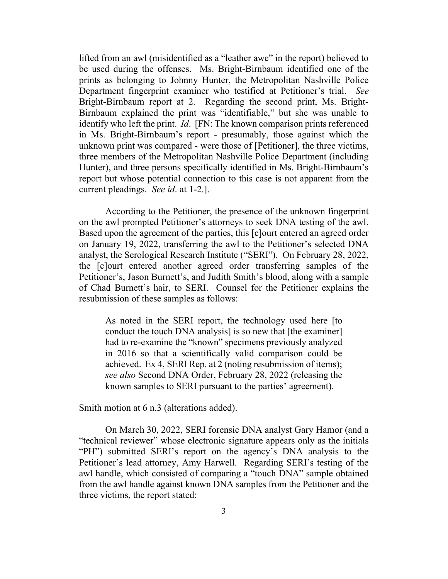lifted from an awl (misidentified as a "leather awe" in the report) believed to be used during the offenses. Ms. Bright-Birnbaum identified one of the prints as belonging to Johnny Hunter, the Metropolitan Nashville Police Department fingerprint examiner who testified at Petitioner's trial. *See* Bright-Birnbaum report at 2. Regarding the second print, Ms. Bright-Birnbaum explained the print was "identifiable," but she was unable to identify who left the print. *Id*. [FN: The known comparison prints referenced in Ms. Bright-Birnbaum's report - presumably, those against which the unknown print was compared - were those of [Petitioner], the three victims, three members of the Metropolitan Nashville Police Department (including Hunter), and three persons specifically identified in Ms. Bright-Birnbaum's report but whose potential connection to this case is not apparent from the current pleadings. *See id*. at 1-2.].

According to the Petitioner, the presence of the unknown fingerprint on the awl prompted Petitioner's attorneys to seek DNA testing of the awl. Based upon the agreement of the parties, this [c]ourt entered an agreed order on January 19, 2022, transferring the awl to the Petitioner's selected DNA analyst, the Serological Research Institute ("SERI"). On February 28, 2022, the [c]ourt entered another agreed order transferring samples of the Petitioner's, Jason Burnett's, and Judith Smith's blood, along with a sample of Chad Burnett's hair, to SERI. Counsel for the Petitioner explains the resubmission of these samples as follows:

As noted in the SERI report, the technology used here [to conduct the touch DNA analysis] is so new that [the examiner] had to re-examine the "known" specimens previously analyzed in 2016 so that a scientifically valid comparison could be achieved. Ex 4, SERI Rep. at 2 (noting resubmission of items); *see also* Second DNA Order, February 28, 2022 (releasing the known samples to SERI pursuant to the parties' agreement).

Smith motion at 6 n.3 (alterations added).

On March 30, 2022, SERI forensic DNA analyst Gary Hamor (and a "technical reviewer" whose electronic signature appears only as the initials "PH") submitted SERI's report on the agency's DNA analysis to the Petitioner's lead attorney, Amy Harwell. Regarding SERI's testing of the awl handle, which consisted of comparing a "touch DNA" sample obtained from the awl handle against known DNA samples from the Petitioner and the three victims, the report stated: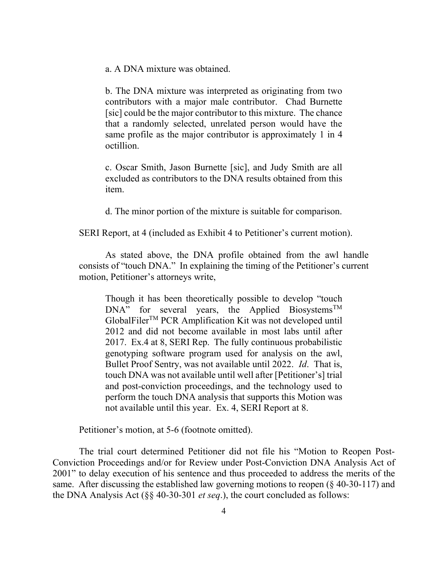a. A DNA mixture was obtained.

b. The DNA mixture was interpreted as originating from two contributors with a major male contributor. Chad Burnette [sic] could be the major contributor to this mixture. The chance that a randomly selected, unrelated person would have the same profile as the major contributor is approximately 1 in 4 octillion.

c. Oscar Smith, Jason Burnette [sic], and Judy Smith are all excluded as contributors to the DNA results obtained from this item.

d. The minor portion of the mixture is suitable for comparison.

SERI Report, at 4 (included as Exhibit 4 to Petitioner's current motion).

As stated above, the DNA profile obtained from the awl handle consists of "touch DNA." In explaining the timing of the Petitioner's current motion, Petitioner's attorneys write,

Though it has been theoretically possible to develop "touch  $DNA$ " for several years, the Applied Biosystems<sup>TM</sup> GlobalFilerTM PCR Amplification Kit was not developed until 2012 and did not become available in most labs until after 2017. Ex.4 at 8, SERI Rep. The fully continuous probabilistic genotyping software program used for analysis on the awl, Bullet Proof Sentry, was not available until 2022. *Id*. That is, touch DNA was not available until well after [Petitioner's] trial and post-conviction proceedings, and the technology used to perform the touch DNA analysis that supports this Motion was not available until this year. Ex. 4, SERI Report at 8.

Petitioner's motion, at 5-6 (footnote omitted).

The trial court determined Petitioner did not file his "Motion to Reopen Post-Conviction Proceedings and/or for Review under Post-Conviction DNA Analysis Act of 2001" to delay execution of his sentence and thus proceeded to address the merits of the same. After discussing the established law governing motions to reopen (§ 40-30-117) and the DNA Analysis Act (§§ 40-30-301 *et seq*.), the court concluded as follows: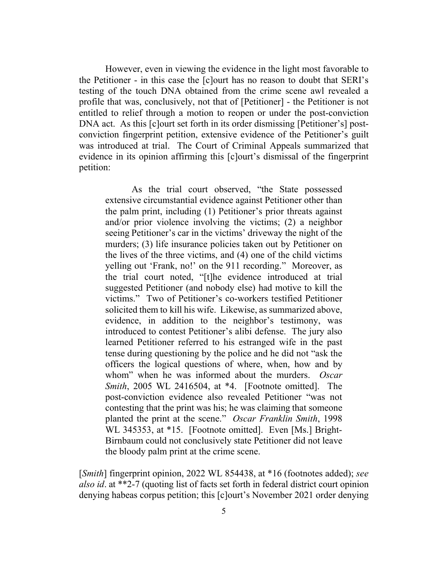However, even in viewing the evidence in the light most favorable to the Petitioner - in this case the [c]ourt has no reason to doubt that SERI's testing of the touch DNA obtained from the crime scene awl revealed a profile that was, conclusively, not that of [Petitioner] - the Petitioner is not entitled to relief through a motion to reopen or under the post-conviction DNA act. As this [c]ourt set forth in its order dismissing [Petitioner's] postconviction fingerprint petition, extensive evidence of the Petitioner's guilt was introduced at trial. The Court of Criminal Appeals summarized that evidence in its opinion affirming this [c]ourt's dismissal of the fingerprint petition:

As the trial court observed, "the State possessed extensive circumstantial evidence against Petitioner other than the palm print, including (1) Petitioner's prior threats against and/or prior violence involving the victims; (2) a neighbor seeing Petitioner's car in the victims' driveway the night of the murders; (3) life insurance policies taken out by Petitioner on the lives of the three victims, and (4) one of the child victims yelling out 'Frank, no!' on the 911 recording." Moreover, as the trial court noted, "[t]he evidence introduced at trial suggested Petitioner (and nobody else) had motive to kill the victims." Two of Petitioner's co-workers testified Petitioner solicited them to kill his wife. Likewise, as summarized above, evidence, in addition to the neighbor's testimony, was introduced to contest Petitioner's alibi defense. The jury also learned Petitioner referred to his estranged wife in the past tense during questioning by the police and he did not "ask the officers the logical questions of where, when, how and by whom" when he was informed about the murders. *Oscar Smith*, 2005 WL 2416504, at \*4. [Footnote omitted]. The post-conviction evidence also revealed Petitioner "was not contesting that the print was his; he was claiming that someone planted the print at the scene." *Oscar Franklin Smith*, 1998 WL 345353, at \*15. [Footnote omitted]. Even [Ms.] Bright-Birnbaum could not conclusively state Petitioner did not leave the bloody palm print at the crime scene.

[*Smith*] fingerprint opinion, 2022 WL 854438, at \*16 (footnotes added); *see also id*. at \*\*2-7 (quoting list of facts set forth in federal district court opinion denying habeas corpus petition; this [c]ourt's November 2021 order denying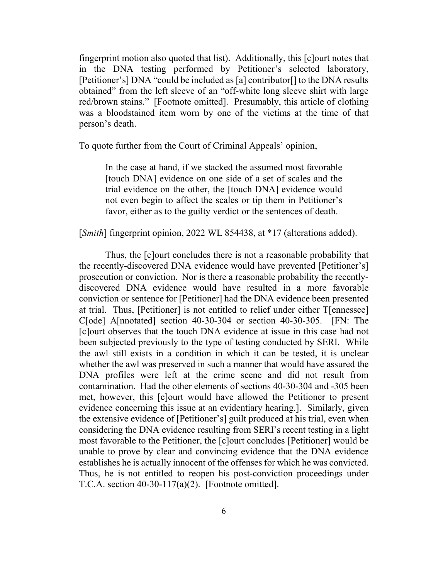fingerprint motion also quoted that list). Additionally, this [c]ourt notes that in the DNA testing performed by Petitioner's selected laboratory, [Petitioner's] DNA "could be included as [a] contributor[] to the DNA results obtained" from the left sleeve of an "off-white long sleeve shirt with large red/brown stains." [Footnote omitted]. Presumably, this article of clothing was a bloodstained item worn by one of the victims at the time of that person's death.

To quote further from the Court of Criminal Appeals' opinion,

In the case at hand, if we stacked the assumed most favorable [touch DNA] evidence on one side of a set of scales and the trial evidence on the other, the [touch DNA] evidence would not even begin to affect the scales or tip them in Petitioner's favor, either as to the guilty verdict or the sentences of death.

[*Smith*] fingerprint opinion, 2022 WL 854438, at \*17 (alterations added).

Thus, the [c]ourt concludes there is not a reasonable probability that the recently-discovered DNA evidence would have prevented [Petitioner's] prosecution or conviction. Nor is there a reasonable probability the recentlydiscovered DNA evidence would have resulted in a more favorable conviction or sentence for [Petitioner] had the DNA evidence been presented at trial. Thus, [Petitioner] is not entitled to relief under either T[ennessee] C[ode] A[nnotated] section 40-30-304 or section 40-30-305. [FN: The [c]ourt observes that the touch DNA evidence at issue in this case had not been subjected previously to the type of testing conducted by SERI. While the awl still exists in a condition in which it can be tested, it is unclear whether the awl was preserved in such a manner that would have assured the DNA profiles were left at the crime scene and did not result from contamination. Had the other elements of sections 40-30-304 and -305 been met, however, this [c]ourt would have allowed the Petitioner to present evidence concerning this issue at an evidentiary hearing.]. Similarly, given the extensive evidence of [Petitioner's] guilt produced at his trial, even when considering the DNA evidence resulting from SERI's recent testing in a light most favorable to the Petitioner, the [c]ourt concludes [Petitioner] would be unable to prove by clear and convincing evidence that the DNA evidence establishes he is actually innocent of the offenses for which he was convicted. Thus, he is not entitled to reopen his post-conviction proceedings under T.C.A. section  $40-30-117(a)(2)$ . [Footnote omitted].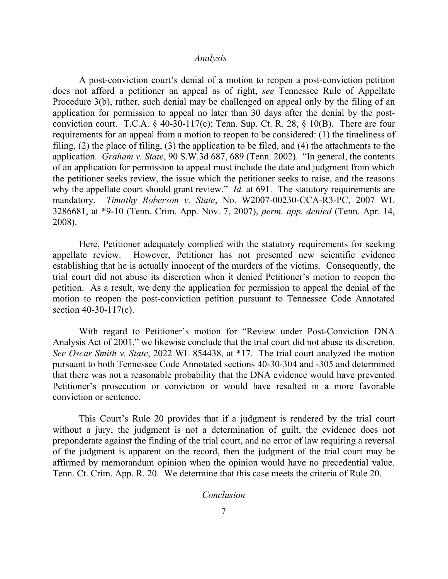#### *Analysis*

A post-conviction court's denial of a motion to reopen a post-conviction petition does not afford a petitioner an appeal as of right, *see* Tennessee Rule of Appellate Procedure 3(b), rather, such denial may be challenged on appeal only by the filing of an application for permission to appeal no later than 30 days after the denial by the postconviction court. T.C.A.  $\S$  40-30-117(c); Tenn. Sup. Ct. R. 28,  $\S$  10(B). There are four requirements for an appeal from a motion to reopen to be considered: (1) the timeliness of filing, (2) the place of filing, (3) the application to be filed, and (4) the attachments to the application. *Graham v. State*, 90 S.W.3d 687, 689 (Tenn. 2002). "In general, the contents of an application for permission to appeal must include the date and judgment from which the petitioner seeks review, the issue which the petitioner seeks to raise, and the reasons why the appellate court should grant review." *Id.* at 691. The statutory requirements are mandatory. *Timothy Roberson v. State*, No. W2007-00230-CCA-R3-PC, 2007 WL 3286681, at \*9-10 (Tenn. Crim. App. Nov. 7, 2007), *perm. app. denied* (Tenn. Apr. 14, 2008).

Here, Petitioner adequately complied with the statutory requirements for seeking appellate review. However, Petitioner has not presented new scientific evidence establishing that he is actually innocent of the murders of the victims. Consequently, the trial court did not abuse its discretion when it denied Petitioner's motion to reopen the petition. As a result, we deny the application for permission to appeal the denial of the motion to reopen the post-conviction petition pursuant to Tennessee Code Annotated section 40-30-117(c).

With regard to Petitioner's motion for "Review under Post-Conviction DNA Analysis Act of 2001," we likewise conclude that the trial court did not abuse its discretion. *See Oscar Smith v. State*, 2022 WL 854438, at \*17.The trial court analyzed the motion pursuant to both Tennessee Code Annotated sections 40-30-304 and -305 and determined that there was not a reasonable probability that the DNA evidence would have prevented Petitioner's prosecution or conviction or would have resulted in a more favorable conviction or sentence.

This Court's Rule 20 provides that if a judgment is rendered by the trial court without a jury, the judgment is not a determination of guilt, the evidence does not preponderate against the finding of the trial court, and no error of law requiring a reversal of the judgment is apparent on the record, then the judgment of the trial court may be affirmed by memorandum opinion when the opinion would have no precedential value. Tenn. Ct. Crim. App. R. 20. We determine that this case meets the criteria of Rule 20.

*Conclusion*